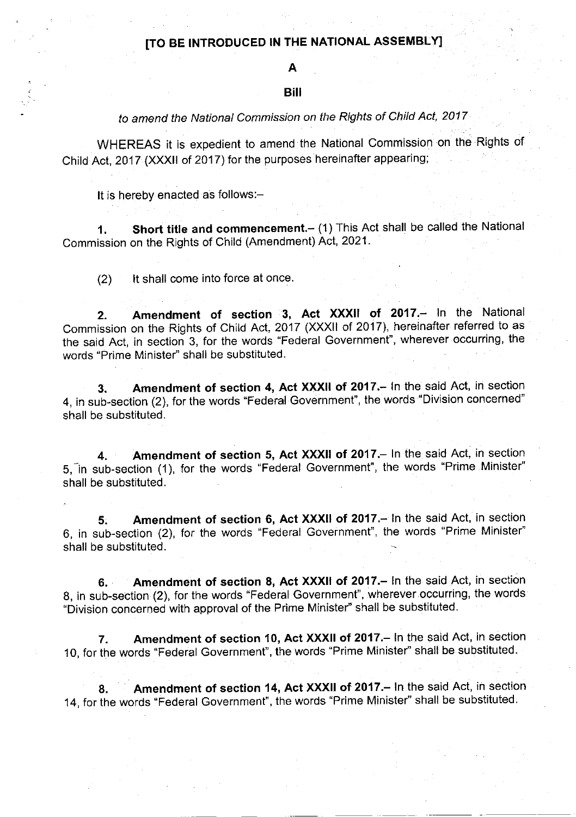### lTo BE INTRODUCED IN THE NATIONAL ASSEMBLYI

# A

#### Bill

## to amend the National Commission on the Rights of Child Act, 2017

WHEREAS it is expedient to amend the National commission on the Rights of Child Act, 2017 (XXXII of 2017) for the purposes hereinafter appearing;

It is hereby enacted as follows:-

1. Short title and commencement.- (1) This Act shall be called the National Commission on the Rights of Child (Amendment) Act, 2021.

 $(2)$  lt shall come into force at once.

2. Amendment of section 3, Act XXXII of 2017.- In the National Commission on the Rights of Child Act, 2017 (XXXII of 2017), hereinafter referred to as the said Act, in section 3, for the words "Federal Government", wherever occurring, the words "Prime Minister" shall be substituted.

3. Amendment of section 4, Act XXXII of 2017. In the said Act, in section 4, in sub-section (2), for the words "Federal Government", the words "Division concerned" shall be substituted.

4. Amendment of section 5, Act XXXII of 2017. In the said Act, in section 5, in sub-section (1), for the words "Federal Government", the words "Prime Minister" shall be substituted.

5. Amendment of section 6, Act XXXII of 2017.- In the said Act, in section 6, in sub-section (2), for the words "Federal Government", the words "Prime Minister" shall be substituted.

6. Amendment of section 8, Act XXXII of 2017.- In the said Act, in section 8, in sub-section (2), for the words "Federal Government", wherever occurring, the words "Division concerned with approval of the Prime Minister" shall be substituted.

7. Amendment of section 10, Act XXXII of 2017. In the said Act, in section 10, for the words "Federal Government", the words "Prime Minister" shall be substituted.

8. Amendment of section 14, Act XXXII of 2017. In the said Act, in section 14, for the words "Federal Government", the words "Prime Minister" shall be substituted.